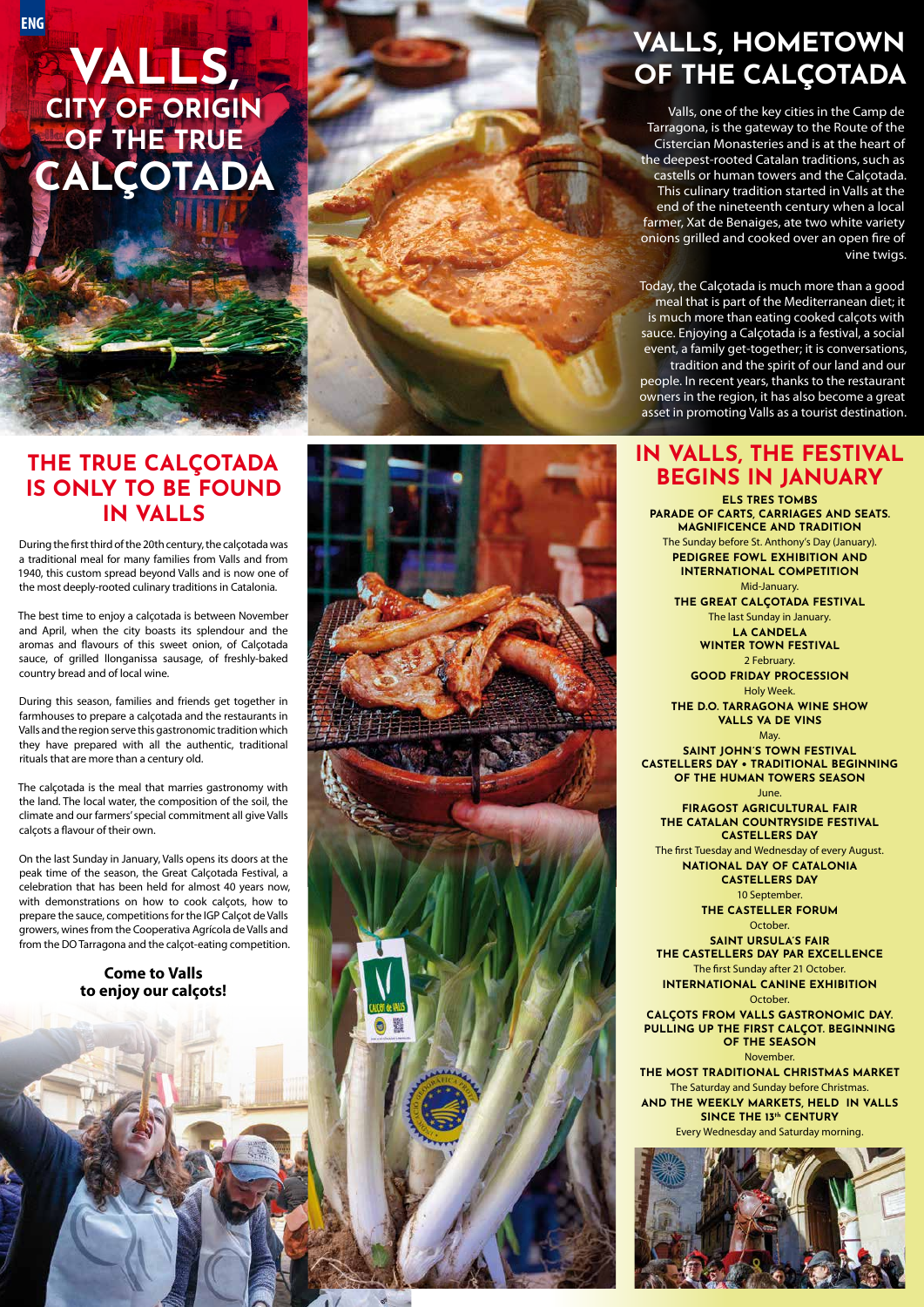### **VALLS, HOMETOWN OF THE CALÇOTADA**

Valls, one of the key cities in the Camp de Tarragona, is the gateway to the Route of the Cistercian Monasteries and is at the heart of the deepest-rooted Catalan traditions, such as castells or human towers and the Calçotada. This culinary tradition started in Valls at the end of the nineteenth century when a local farmer, Xat de Benaiges, ate two white variety onions grilled and cooked over an open fire of vine twigs.

Today, the Calçotada is much more than a good meal that is part of the Mediterranean diet; it is much more than eating cooked calçots with sauce. Enjoying a Calçotada is a festival, a social event, a family get-together; it is conversations,

tradition and the spirit of our land and our people. In recent years, thanks to the restaurant owners in the region, it has also become a great asset in promoting Valls as a tourist destination.

## **THE TRUE CALÇOTADA IN VALLS**



On the last Sunday in January, Valls opens its doors at the peak time of the season, the Great Calçotada Festival, a with demonstrations on how to cook calçots, how to prepare the sauce, competitions for the IGP Calçot de Valls growers, wines from the Cooperativa Agrícola de Valls and

#### **Come to Valls**

#### **IN VALLS, THE FESTIVAL BEGINS IN JANUARY**

**ELS TRES TOMBS PARADE OF CARTS, CARRIAGES AND SEATS. MAGNIFICENCE AND TRADITION**  The Sunday before St. Anthony's Day (January). **PEDIGREE FOWL EXHIBITION AND INTERNATIONAL COMPETITION**  Mid-January.

**THE GREAT CALÇOTADA FESTIVAL** 

The last Sunday in January. **LA CANDELA WINTER TOWN FESTIVAL** 2 February.

**GOOD FRIDAY PROCESSION** Holy Week.

**THE D.O. TARRAGONA WINE SHOW VALLS VA DE VINS**

May. **SAINT JOHN'S TOWN FESTIVAL CASTELLERS DAY • TRADITIONAL BEGINNING OF THE HUMAN TOWERS SEASON**  June.

**FIRAGOST AGRICULTURAL FAIR THE CATALAN COUNTRYSIDE FESTIVAL CASTELLERS DAY**

The first Tuesday and Wednesday of every August. **NATIONAL DAY OF CATALONIA**

> **CASTELLERS DAY** 10 September.

**THE CASTELLER FORUM** October.

**SAINT URSULA'S FAIR THE CASTELLERS DAY PAR EXCELLENCE** The first Sunday after 21 October. **INTERNATIONAL CANINE EXHIBITION**

#### October.

**CALÇOTS FROM VALLS GASTRONOMIC DAY. PULLING UP THE FIRST CALÇOT. BEGINNING OF THE SEASON**

November.

**THE MOST TRADITIONAL CHRISTMAS MARKET** The Saturday and Sunday before Christmas. **AND THE WEEKLY MARKETS, HELD IN VALLS SINCE THE 13th CENTURY** Every Wednesday and Saturday morning.



## **VALLS, CITY OF ORIGIN OF THE TRUE CALÇOTADA**